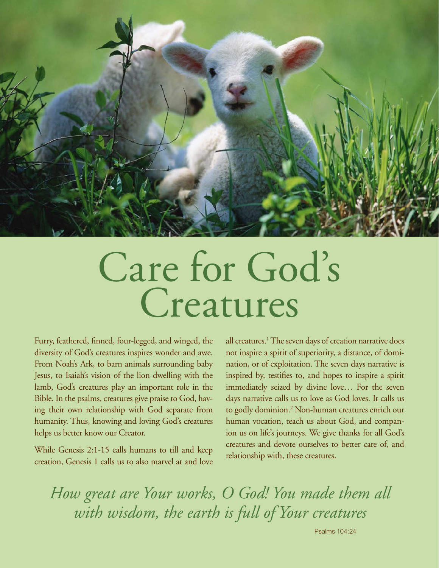

# Care for God's Creatures

Furry, feathered, finned, four-legged, and winged, the diversity of God's creatures inspires wonder and awe. From Noah's Ark, to barn animals surrounding baby Jesus, to Isaiah's vision of the lion dwelling with the lamb, God's creatures play an important role in the Bible. In the psalms, creatures give praise to God, having their own relationship with God separate from humanity. Thus, knowing and loving God's creatures helps us better know our Creator.

While Genesis 2:1-15 calls humans to till and keep creation, Genesis 1 calls us to also marvel at and love

all creatures.<sup>1</sup> The seven days of creation narrative does not inspire a spirit of superiority, a distance, of domination, or of exploitation. The seven days narrative is inspired by, testifies to, and hopes to inspire a spirit immediately seized by divine love… For the seven days narrative calls us to love as God loves. It calls us to godly dominion.2 Non-human creatures enrich our human vocation, teach us about God, and companion us on life's journeys. We give thanks for all God's creatures and devote ourselves to better care of, and relationship with, these creatures.

*How great are Your works, O God! You made them all with wisdom, the earth is full of Your creatures*

Psalms 104:24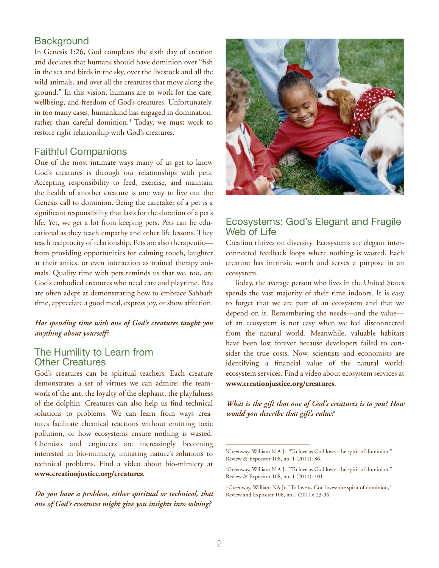#### **Background**

In Genesis 1:26, God completes the sixth day of creation and declares that humans should have dominion over "fish in the sea and birds in the sky, over the livestock and all the wild animals, and over all the creatures that move along the ground." In this vision, humans are to work for the care, wellbeing, and freedom of God's creatures. Unfortunately, in too many cases, humankind has engaged in domination, rather than careful dominion.<sup>3</sup> Today, we must work to restore right relationship with God's creatures.

#### Faithful Companions

One of the most intimate ways many of us get to know God's creatures is through our relationships with pets. Accepting responsibility to feed, exercise, and maintain the health of another creature is one way to live out the Genesis call to dominion. Being the caretaker of a pet is a significant responsibility that lasts for the duration of a pet's life. Yet, we get a lot from keeping pets. Pets can be educational as they teach empathy and other life lessons. They teach reciprocity of relationship. Pets are also therapeutic from providing opportunities for calming touch, laughter at their antics, or even interaction as trained therapy animals. Quality time with pets reminds us that we, too, are God's embodied creatures who need care and playtime. Pets are often adept at demonstrating how to embrace Sabbath time, appreciate a good meal, express joy, or show affection.

#### *Has spending time with one of God's creatures taught you anything about yourself?*

#### The Humility to Learn from Other Creatures

God's creatures can be spiritual teachers. Each creature demonstrates a set of virtues we can admire: the teamwork of the ant, the loyalty of the elephant, the playfulness of the dolphin. Creatures can also help us find technical solutions to problems. We can learn from ways creatures facilitate chemical reactions without emitting toxic pollution, or how ecosystems ensure nothing is wasted. Chemists and engineers are increasingly becoming interested in bio-mimicry, imitating nature's solutions to technical problems. Find a video about bio-mimicry at **[www.creationjustice.org/creatures](http://www.creationjustice.org/creatures)**.

*Do you have a problem, either spiritual or technical, that one of God's creatures might give you insights into solving?* 



#### Ecosystems: God's Elegant and Fragile Web of Life

Creation thrives on diversity. Ecosystems are elegant interconnected feedback loops where nothing is wasted. Each creature has intrinsic worth and serves a purpose in an ecosystem.

Today, the average person who lives in the United States spends the vast majority of their time indoors. It is easy to forget that we are part of an ecosystem and that we depend on it. Remembering the needs—and the value of an ecosystem is not easy when we feel disconnected from the natural world. Meanwhile, valuable habitats have been lost forever because developers failed to consider the true costs. Now, scientists and economists are identifying a financial value of the natural world: ecosystem services. Find a video about ecosystem services at **[www.creationjustice.org/creatures](http://www.creationjustice.org/creatures)**.

*What is the gift that one of God's creatures is to you? How would you describe that gift's value?*

<sup>&</sup>lt;sup>1</sup>Greenway, William N A Jr. "To love as God loves: the spirit of dominion." Review & Expositor 108, no. 1 (2011): 86.

<sup>2</sup> Greenway, William N A Jr. "To love as God loves: the spirit of dominion." Review & Expositor 108, no. 1 (2011): 101.

<sup>&</sup>lt;sup>3</sup> Greenway, William NA Jr. "To love as God loves: the spirit of dominion," Review and Expositer 108, no.1 (2011): 23-36.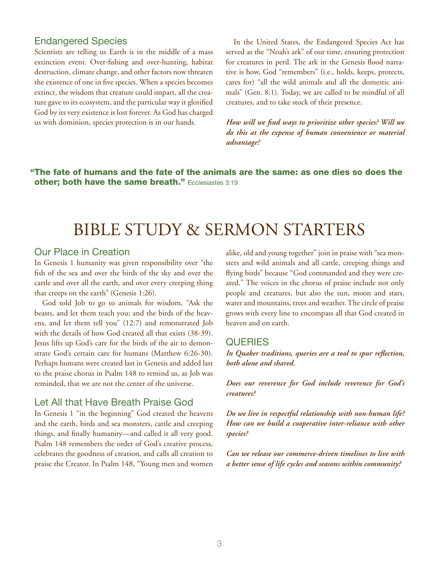#### Endangered Species

Scientists are telling us Earth is in the middle of a mass extinction event. Over-fishing and over-hunting, habitat destruction, climate change, and other factors now threaten the existence of one in five species. When a species becomes extinct, the wisdom that creature could impart, all the creature gave to its ecosystem, and the particular way it glorified God by its very existence is lost forever. As God has charged us with dominion, species protection is in our hands.

In the United States, the Endangered Species Act has served as the "Noah's ark" of our time, ensuring protection for creatures in peril. The ark in the Genesis flood narrative is how, God "remembers" (i.e., holds, keeps, protects, cares for) "all the wild animals and all the domestic animals" (Gen. 8:1). Today, we are called to be mindful of all creatures, and to take stock of their presence.

*How will we find ways to prioritize other species? Will we do this at the expense of human convenience or material advantage?*

"The fate of humans and the fate of the animals are the same: as one dies so does the other; both have the same breath." Ecclesiastes 3:19

# BIBLE STUDY & SERMON STARTERS

#### Our Place in Creation

In Genesis 1 humanity was given responsibility over "the fish of the sea and over the birds of the sky and over the cattle and over all the earth, and over every creeping thing that creeps on the earth" (Genesis 1:26).

God told Job to go to animals for wisdom, "Ask the beasts, and let them teach you; and the birds of the heavens, and let them tell you" (12:7) and remonstrated Job with the details of how God created all that exists (38-39). Jesus lifts up God's care for the birds of the air to demonstrate God's certain care for humans (Matthew 6:26-30). Perhaps humans were created last in Genesis and added last to the praise chorus in Psalm 148 to remind us, as Job was reminded, that we are not the center of the universe.

#### Let All that Have Breath Praise God

In Genesis 1 "in the beginning" God created the heavens and the earth, birds and sea monsters, cattle and creeping things, and finally humanity—and called it all very good. Psalm 148 remembers the order of God's creative process, celebrates the goodness of creation, and calls all creation to praise the Creator. In Psalm 148, "Young men and women

alike, old and young together" join in praise with "sea monsters and wild animals and all cattle, creeping things and flying birds" because "God commanded and they were created." The voices in the chorus of praise include not only people and creatures, but also the sun, moon and stars, water and mountains, trees and weather. The circle of praise grows with every line to encompass all that God created in heaven and on earth.

#### **QUERIES**

*In Quaker traditions, queries are a tool to spur reflection, both alone and shared.* 

*Does our reverence for God include reverence for God's creatures?*

*Do we live in respectful relationship with non-human life? How can we build a cooperative inter-reliance with other species?*

*Can we release our commerce-driven timelines to live with a better sense of life cycles and seasons within community?*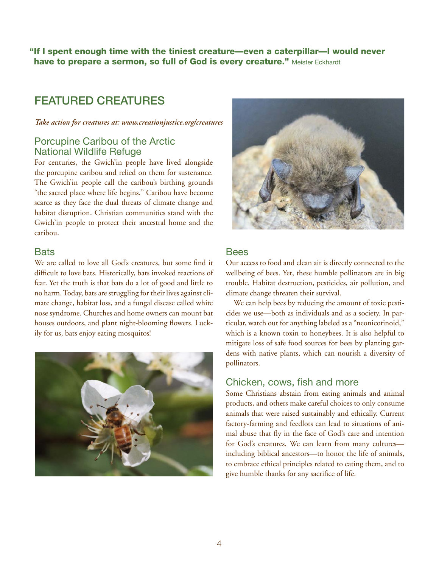"If I spent enough time with the tiniest creature—even a caterpillar—I would never have to prepare a sermon, so full of God is every creature." Meister Eckhardt

## Featured Creatures

*Take action for creatures at: [www.creationjustice.org/creatures](http://www.creationjustice.org/creatures)*

#### Porcupine Caribou of the Arctic National Wildlife Refuge

For centuries, the Gwich'in people have lived alongside the porcupine caribou and relied on them for sustenance. The Gwich'in people call the caribou's birthing grounds "the sacred place where life begins." Caribou have become scarce as they face the dual threats of climate change and habitat disruption. Christian communities stand with the Gwich'in people to protect their ancestral home and the caribou.

#### **Bats**

We are called to love all God's creatures, but some find it difficult to love bats. Historically, bats invoked reactions of fear. Yet the truth is that bats do a lot of good and little to no harm. Today, bats are struggling for their lives against climate change, habitat loss, and a fungal disease called white nose syndrome. Churches and home owners can mount bat houses outdoors, and plant night-blooming flowers. Luckily for us, bats enjoy eating mosquitos!





#### Bees

Our access to food and clean air is directly connected to the wellbeing of bees. Yet, these humble pollinators are in big trouble. Habitat destruction, pesticides, air pollution, and climate change threaten their survival.

We can help bees by reducing the amount of toxic pesticides we use—both as individuals and as a society. In particular, watch out for anything labeled as a "neonicotinoid," which is a known toxin to honeybees. It is also helpful to mitigate loss of safe food sources for bees by planting gardens with native plants, which can nourish a diversity of pollinators.

#### Chicken, cows, fish and more

Some Christians abstain from eating animals and animal products, and others make careful choices to only consume animals that were raised sustainably and ethically. Current factory-farming and feedlots can lead to situations of animal abuse that fly in the face of God's care and intention for God's creatures. We can learn from many cultures including biblical ancestors—to honor the life of animals, to embrace ethical principles related to eating them, and to give humble thanks for any sacrifice of life.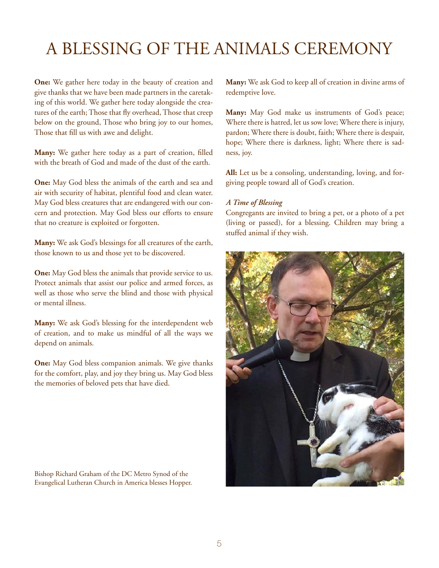# A Blessing of the Animals Ceremony

**One:** We gather here today in the beauty of creation and give thanks that we have been made partners in the caretaking of this world. We gather here today alongside the creatures of the earth; Those that fly overhead, Those that creep below on the ground, Those who bring joy to our homes, Those that fill us with awe and delight.

**Many:** We gather here today as a part of creation, filled with the breath of God and made of the dust of the earth.

**One:** May God bless the animals of the earth and sea and air with security of habitat, plentiful food and clean water. May God bless creatures that are endangered with our concern and protection. May God bless our efforts to ensure that no creature is exploited or forgotten.

**Many:** We ask God's blessings for all creatures of the earth, those known to us and those yet to be discovered.

**One:** May God bless the animals that provide service to us. Protect animals that assist our police and armed forces, as well as those who serve the blind and those with physical or mental illness.

**Many:** We ask God's blessing for the interdependent web of creation, and to make us mindful of all the ways we depend on animals.

**One:** May God bless companion animals. We give thanks for the comfort, play, and joy they bring us. May God bless the memories of beloved pets that have died.

Bishop Richard Graham of the DC Metro Synod of the Evangelical Lutheran Church in America blesses Hopper. **Many:** We ask God to keep all of creation in divine arms of redemptive love.

**Many:** May God make us instruments of God's peace; Where there is hatred, let us sow love; Where there is injury, pardon; Where there is doubt, faith; Where there is despair, hope; Where there is darkness, light; Where there is sadness, joy.

**All:** Let us be a consoling, understanding, loving, and forgiving people toward all of God's creation.

#### *A Time of Blessing*

Congregants are invited to bring a pet, or a photo of a pet (living or passed), for a blessing. Children may bring a stuffed animal if they wish.

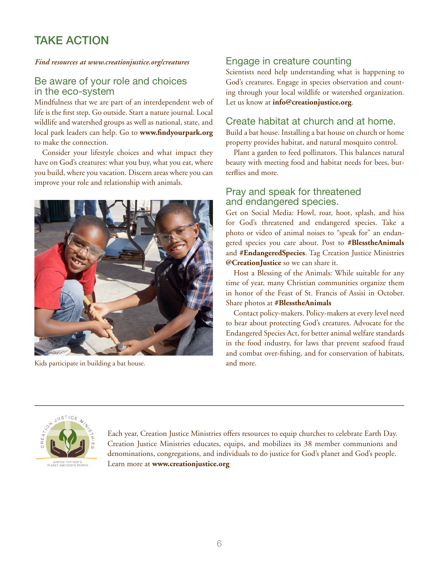# TAKE ACTION

#### *Find resources at [www.creationjustice.org/creatures](http://www.creationjustice.org/creatures)*

#### Be aware of your role and choices in the eco-system

Mindfulness that we are part of an interdependent web of life is the first step. Go outside. Start a nature journal. Local wildlife and watershed groups as well as national, state, and local park leaders can help. Go to **[www.findyourpark.org](http://www.findyourpark.org)** to make the connection.

Consider your lifestyle choices and what impact they have on God's creatures: what you buy, what you eat, where you build, where you vacation. Discern areas where you can improve your role and relationship with animals.



Kids participate in building a bat house. And more and more.

### Engage in creature counting

Scientists need help understanding what is happening to God's creatures. Engage in species observation and counting through your local wildlife or watershed organization. Let us know at **[info@creationjustice.org](mailto:info%40creationjustice.org?subject=)**.

#### Create habitat at church and at home.

Build a bat house. Installing a bat house on church or home property provides habitat, and natural mosquito control.

Plant a garden to feed pollinators. This balances natural beauty with meeting food and habitat needs for bees, butterflies and more.

#### Pray and speak for threatened and endangered species.

Get on Social Media: Howl, roar, hoot, splash, and hiss for God's threatened and endangered species. Take a photo or video of animal noises to "speak for" an endangered species you care about. Post to **#BlesstheAnimals** and **#EndangeredSpecies**. Tag Creation Justice Ministries **[@CreationJustice](http://twitter.com/CreationJustice)** so we can share it.

Host a Blessing of the Animals: While suitable for any time of year, many Christian communities organize them in honor of the Feast of St. Francis of Assisi in October. Share photos at **#BlesstheAnimals**

Contact policy-makers. Policy-makers at every level need to hear about protecting God's creatures. Advocate for the Endangered Species Act, for better animal welfare standards in the food industry, for laws that prevent seafood fraud and combat over-fishing, and for conservation of habitats,



Each year, Creation Justice Ministries offers resources to equip churches to celebrate Earth Day. Creation Justice Ministries educates, equips, and mobilizes its 38 member communions and denominations, congregations, and individuals to do justice for God's planet and God's people. Learn more at **[www.creationjustice.org](http://www.creationjustice.org)**